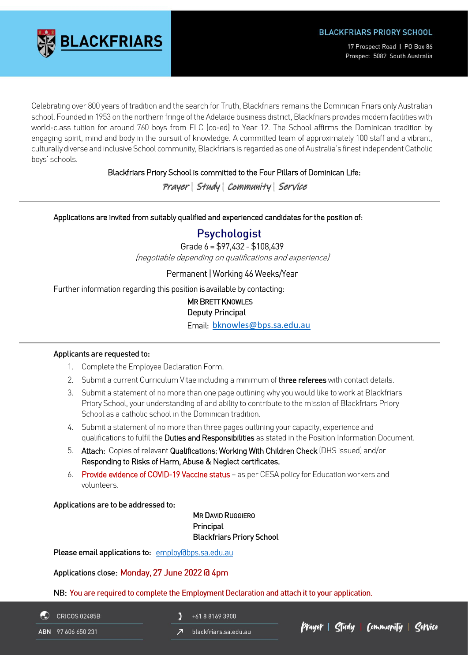

17 Prospect Road | PO Box 86 Prospect 5082 South Australia

Celebrating over 800 years of tradition and the search for Truth, Blackfriars remains the Dominican Friars only Australian school. Founded in 1953 on the northern fringe of the Adelaide business district, Blackfriars provides modern facilities with world-class tuition for around 760 boys from ELC (co-ed) to Year 12. The School affirms the Dominican tradition by engaging spirit, mind and body in the pursuit of knowledge. A committed team of approximately 100 staff and a vibrant, culturally diverse and inclusive School community, Blackfriars is regarded as one of Australia's finest independent Catholic boys' schools.

# Blackfriars Priory School is committed to the Four Pillars of Dominican Life:

Prayer | Study | Community | Service

# Applications are invited from suitably qualified and experienced candidates for the position of:

# **Psychologist**

Grade  $6 = $97.432 - $108.439$ (negotiable depending on qualifications and experience)

# Permanent | Working 46 Weeks/Year

Further information regarding this position is available by contacting:

# **MR BRETT KNOWLES Deputy Principal**

Email: [bknowles@bps.sa.edu.au](mailto:bknowles@bps.sa.edu.au)

#### Applicants are requested to:

- 1. Complete the Employee Declaration Form.
- 2. Submit a current Curriculum Vitae including a minimum of three referees with contact details.
- 3. Submit a statement of no more than one page outlining why you would like to work at Blackfriars Priory School, your understanding of and ability to contribute to the mission of Blackfriars Priory School as a catholic school in the Dominican tradition.
- 4. Submit a statement of no more than three pages outlining your capacity, experience and qualifications to fulfil the Duties and Responsibilities as stated in the Position Information Document.
- 5. Attach: Copies of relevant Qualifications; Working With Children Check (DHS issued) and/or Responding to Risks of Harm, Abuse & Neglect certificates.
- 6. Provide evidence of COVID-19 Vaccine status as per CESA policy for Education workers and volunteers.

Applications are to be addressed to:

MR DAVID RUGGIERO **Principal** Blackfriars Priory School

Please email applications to: employ@bps.sa.edu.au

Applications close: Monday, 27 June 2022 @ 4pm

NB: You are required to complete the Employment Declaration and attach it to your application.

**CRICOS 02485B** 

+61 8 8169 3900

ABN 97 606 650 231

blackfriars.sa.edu.au

Cludy | Community | Cervice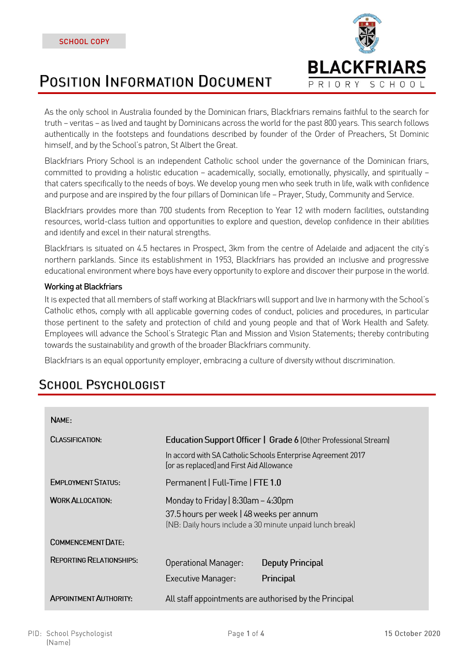# **POSITION INFORMATION DOCUMENT**



As the only school in Australia founded by the Dominican friars, Blackfriars remains faithful to the search for truth – veritas – as lived and taught by Dominicans across the world for the past 800 years. This search follows authentically in the footsteps and foundations described by founder of the Order of Preachers, St Dominic himself, and by the School's patron, St Albert the Great.

Blackfriars Priory School is an independent Catholic school under the governance of the Dominican friars, committed to providing a holistic education – academically, socially, emotionally, physically, and spiritually – that caters specifically to the needs of boys. We develop young men who seek truth in life, walk with confidence and purpose and are inspired by the four pillars of Dominican life – Prayer, Study, Community and Service.

Blackfriars provides more than 700 students from Reception to Year 12 with modern facilities, outstanding resources, world-class tuition and opportunities to explore and question, develop confidence in their abilities and identify and excel in their natural strengths.

Blackfriars is situated on 4.5 hectares in Prospect, 3km from the centre of Adelaide and adjacent the city's northern parklands. Since its establishment in 1953, Blackfriars has provided an inclusive and progressive educational environment where boys have every opportunity to explore and discover their purpose in the world.

# Working at Blackfriars

It is expected that all members of staff working at Blackfriars will support and live in harmony with the School's Catholic ethos, comply with all applicable governing codes of conduct, policies and procedures, in particular those pertinent to the safety and protection of child and young people and that of Work Health and Safety. Employees will advance the School's Strategic Plan and Mission and Vision Statements; thereby contributing towards the sustainability and growth of the broader Blackfriars community.

Blackfriars is an equal opportunity employer, embracing a culture of diversity without discrimination.

# **SCHOOL PSYCHOLOGIST**

| NAME:                           |                                                                                                                                                                             |                  |  |
|---------------------------------|-----------------------------------------------------------------------------------------------------------------------------------------------------------------------------|------------------|--|
| <b>CLASSIFICATION:</b>          | Education Support Officer   Grade 6 (Other Professional Stream)<br>In accord with SA Catholic Schools Enterprise Agreement 2017<br>[or as replaced] and First Aid Allowance |                  |  |
|                                 |                                                                                                                                                                             |                  |  |
| <b>EMPLOYMENT STATUS:</b>       | Permanent   Full-Time   FTE 1.0                                                                                                                                             |                  |  |
| <b>WORK ALLOCATION:</b>         | Monday to Friday   $8:30$ am – 4:30pm<br>37.5 hours per week   48 weeks per annum<br>(NB: Daily hours include a 30 minute unpaid lunch break)                               |                  |  |
|                                 |                                                                                                                                                                             |                  |  |
| COMMENCEMENT DATE:              |                                                                                                                                                                             |                  |  |
| <b>REPORTING RELATIONSHIPS:</b> | Operational Manager:                                                                                                                                                        | Deputy Principal |  |
|                                 | Executive Manager:                                                                                                                                                          | Principal        |  |
| <b>APPOINTMENT AUTHORITY:</b>   | All staff appointments are authorised by the Principal                                                                                                                      |                  |  |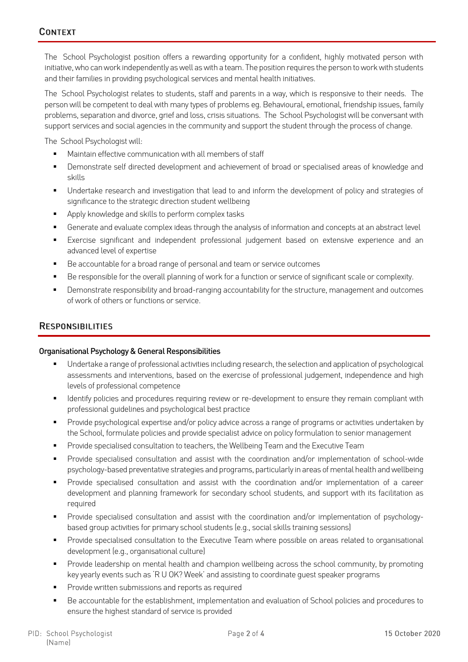The School Psychologist position offers a rewarding opportunity for a confident, highly motivated person with initiative, who can work independently as well as with a team. The position requires the person to work with students and their families in providing psychological services and mental health initiatives.

The School Psychologist relates to students, staff and parents in a way, which is responsive to their needs. The person will be competent to deal with many types of problems eg. Behavioural, emotional, friendship issues, family problems, separation and divorce, grief and loss, crisis situations. The School Psychologist will be conversant with support services and social agencies in the community and support the student through the process of change.

The School Psychologist will:

- Maintain effective communication with all members of staff
- Demonstrate self directed development and achievement of broad or specialised areas of knowledge and skills
- Undertake research and investigation that lead to and inform the development of policy and strategies of significance to the strategic direction student wellbeing
- Apply knowledge and skills to perform complex tasks
- Generate and evaluate complex ideas through the analysis of information and concepts at an abstract level
- **Exercise significant and independent professional judgement based on extensive experience and an** advanced level of expertise
- Be accountable for a broad range of personal and team or service outcomes
- Be responsible for the overall planning of work for a function or service of significant scale or complexity.
- Demonstrate responsibility and broad-ranging accountability for the structure, management and outcomes of work of others or functions or service.

# **RESPONSIBILITIES**

#### Organisational Psychology & General Responsibilities

- Undertake a range of professional activities including research, the selection and application of psychological assessments and interventions, based on the exercise of professional judgement, independence and high levels of professional competence
- Identify policies and procedures requiring review or re-development to ensure they remain compliant with professional guidelines and psychological best practice
- Provide psychological expertise and/or policy advice across a range of programs or activities undertaken by the School, formulate policies and provide specialist advice on policy formulation to senior management
- Provide specialised consultation to teachers, the Wellbeing Team and the Executive Team
- Provide specialised consultation and assist with the coordination and/or implementation of school-wide psychology-based preventative strategies and programs, particularly in areas of mental health and wellbeing
- Provide specialised consultation and assist with the coordination and/or implementation of a career development and planning framework for secondary school students, and support with its facilitation as required
- Provide specialised consultation and assist with the coordination and/or implementation of psychologybased group activities for primary school students (e.g., social skills training sessions)
- **•** Provide specialised consultation to the Executive Team where possible on areas related to organisational development (e.g., organisational culture)
- **•** Provide leadership on mental health and champion wellbeing across the school community, by promoting key yearly events such as 'R U OK? Week' and assisting to coordinate guest speaker programs
- Provide written submissions and reports as required
- Be accountable for the establishment, implementation and evaluation of School policies and procedures to ensure the highest standard of service is provided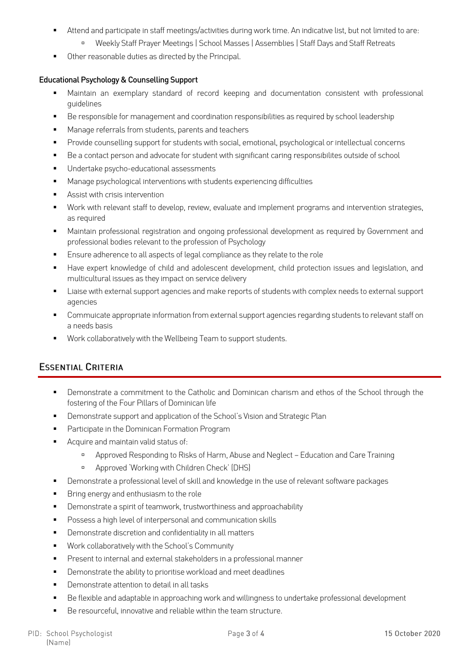- Attend and participate in staff meetings/activities during work time. An indicative list, but not limited to are:
	- Weekly Staff Prayer Meetings | School Masses | Assemblies | Staff Days and Staff Retreats
- Other reasonable duties as directed by the Principal.

#### Educational Psychology & Counselling Support

- Maintain an exemplary standard of record keeping and documentation consistent with professional guidelines
- Be responsible for management and coordination responsibilities as required by school leadership
- Manage referrals from students, parents and teachers
- Provide counselling support for students with social, emotional, psychological or intellectual concerns
- Be a contact person and advocate for student with significant caring responsibilites outside of school
- Undertake psycho-educational assessments
- Manage psychological interventions with students experiencing difficulties
- Assist with crisis intervention
- Work with relevant staff to develop, review, evaluate and implement programs and intervention strategies, as required
- **■** Maintain professional registration and ongoing professional development as required by Government and professional bodies relevant to the profession of Psychology
- Ensure adherence to all aspects of legal compliance as they relate to the role
- Have expert knowledge of child and adolescent development, child protection issues and legislation, and multicultural issues as they impact on service delivery
- Liaise with external support agencies and make reports of students with complex needs to external support agencies
- Commuicate appropriate information from external support agencies regarding students to relevant staff on a needs basis
- Work collaboratively with the Wellbeing Team to support students.

# **ESSENTIAL CRITERIA**

- **•** Demonstrate a commitment to the Catholic and Dominican charism and ethos of the School through the fostering of the Four Pillars of Dominican life
- Demonstrate support and application of the School's Vision and Strategic Plan
- Participate in the Dominican Formation Program
- Acquire and maintain valid status of:
	- Approved Responding to Risks of Harm, Abuse and Neglect Education and Care Training
	- Approved 'Working with Children Check' (DHS)
- Demonstrate a professional level of skill and knowledge in the use of relevant software packages
- Bring energy and enthusiasm to the role
- Demonstrate a spirit of teamwork, trustworthiness and approachability
- Possess a high level of interpersonal and communication skills
- Demonstrate discretion and confidentiality in all matters
- Work collaboratively with the School's Community
- Present to internal and external stakeholders in a professional manner
- Demonstrate the ability to prioritise workload and meet deadlines
- Demonstrate attention to detail in all tasks
- Be flexible and adaptable in approaching work and willingness to undertake professional development
- Be resourceful, innovative and reliable within the team structure.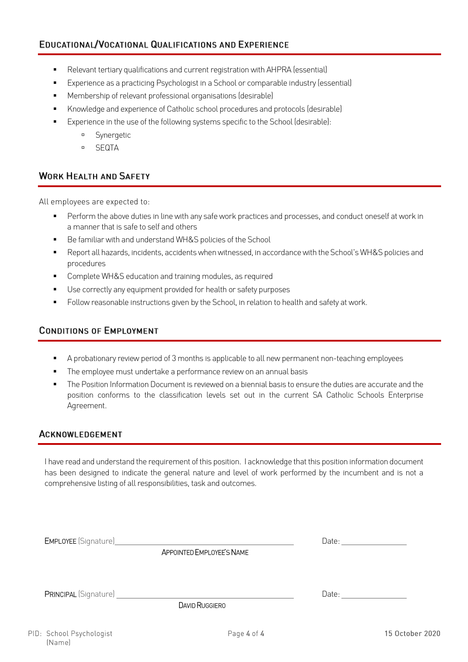- Relevant tertiary qualifications and current registration with AHPRA (essential)
- Experience as a practicing Psychologist in a School or comparable industry (essential)
- Membership of relevant professional organisations (desirable)
- Knowledge and experience of Catholic school procedures and protocols (desirable)
- Experience in the use of the following systems specific to the School (desirable):
	- Synergetic
	- SEQTA

# **WORK HEALTH AND SAFETY**

All employees are expected to:

- **•** Perform the above duties in line with any safe work practices and processes, and conduct oneself at work in a manner that is safe to self and others
- Be familiar with and understand WH&S policies of the School
- Report all hazards, incidents, accidents when witnessed, in accordance with the School's WH&S policies and procedures
- Complete WH&S education and training modules, as required
- Use correctly any equipment provided for health or safety purposes
- Follow reasonable instructions given by the School, in relation to health and safety at work.

# **CONDITIONS OF EMPLOYMENT**

- A probationary review period of 3 months is applicable to all new permanent non-teaching employees
- The employee must undertake a performance review on an annual basis
- The Position Information Document is reviewed on a biennial basis to ensure the duties are accurate and the position conforms to the classification levels set out in the current SA Catholic Schools Enterprise Agreement.

# ACKNOWLEDGEMENT

I have read and understand the requirement of this position. I acknowledge that this position information document has been designed to indicate the general nature and level of work performed by the incumbent and is not a comprehensive listing of all responsibilities, task and outcomes.

| EMPLOYEE (Signature) Management Control of the Control of the Control of the Control of the Control of the Control of the Control of the Control of the Control of the Control of the Control of the Control of the Control of |                                                                                                                                                                                                                                                                                                                                                                                                               |
|--------------------------------------------------------------------------------------------------------------------------------------------------------------------------------------------------------------------------------|---------------------------------------------------------------------------------------------------------------------------------------------------------------------------------------------------------------------------------------------------------------------------------------------------------------------------------------------------------------------------------------------------------------|
| APPOINTED EMPLOYEE'S NAME                                                                                                                                                                                                      |                                                                                                                                                                                                                                                                                                                                                                                                               |
| <b>DAVID RUGGIERO</b>                                                                                                                                                                                                          | Date: $\frac{1}{\sqrt{1-\frac{1}{2}}\sqrt{1-\frac{1}{2}}\sqrt{1-\frac{1}{2}}\sqrt{1-\frac{1}{2}}\sqrt{1-\frac{1}{2}}\sqrt{1-\frac{1}{2}}\sqrt{1-\frac{1}{2}}\sqrt{1-\frac{1}{2}}\sqrt{1-\frac{1}{2}}\sqrt{1-\frac{1}{2}}\sqrt{1-\frac{1}{2}}\sqrt{1-\frac{1}{2}}\sqrt{1-\frac{1}{2}}\sqrt{1-\frac{1}{2}}\sqrt{1-\frac{1}{2}}\sqrt{1-\frac{1}{2}}\sqrt{1-\frac{1}{2}}\sqrt{1-\frac{1}{2}}\sqrt{1-\frac{1}{2}}$ |
| $\sim$ $\sim$ $\sim$ $\sim$                                                                                                                                                                                                    | $1 - 2$                                                                                                                                                                                                                                                                                                                                                                                                       |